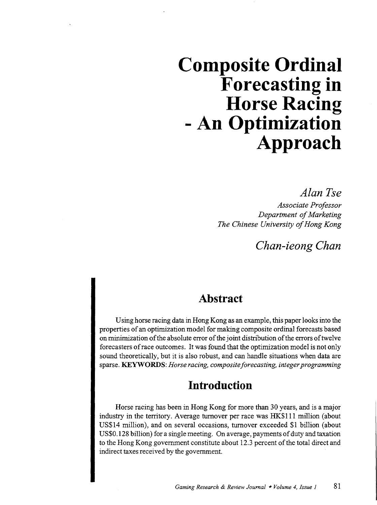# **Composite Ordinal Forecasting in Horse Racing - An Optimization Approach**

*Alan Tse* 

*Associate Professor Department of Marketing The Chinese University of Hong Kong* 

*Chan-ieong Chan* 

## **Abstract**

Using horse racing data in Hong Kong as an example, this paper looks into the properties of an optimization model for making composite ordinal forecasts based on minimization of the absolute error of the joint distribution of the errors of twelve forecasters of race outcomes. It was found that the optimization model is not only sound theoretically, but it is also robust, and can handle situations when data are sparse. KEYWORDS: *Horse racing, composite forecasting, integer programming* 

## **Introduction**

Horse racing has been in Hong Kong for more than 30 years, and is a major industry in the territory. Average turnover per race was HK\$111 million (about US\$14 million), and on several occasions, turnover exceeded \$1 billion (about US\$0.128 billion) for a single meeting. On average, payments of duty and taxation to the Hong Kong government constitute about 12.3 percent of the total direct and indirect taxes received by the government.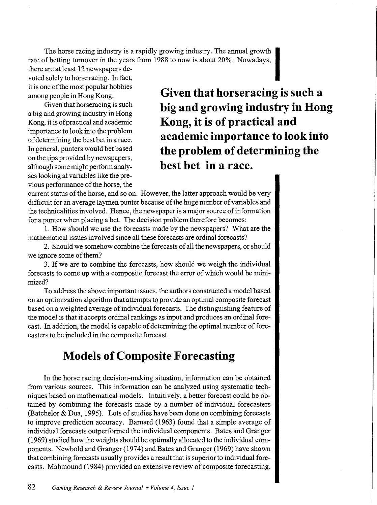The horse racing industry is a rapidly growing industry. The annual growth rate of betting turnover in the years from 1988 to now is about 20%. Nowadays,

there are at least 12 newspapers devoted solely to horse racing. In fact, it is one of the most popular hobbies among people in Hong Kong.

Given that horseracing is such a big and growing industry in Hong Kong, it is of practical and academic importance to look into the problem of determining the best bet in a race. In general, punters would bet based on the tips provided by newspapers, although some might perform analyses looking at variables like the previous performance of the horse, the

**Given that horseracing is such a big and growing industry in Hong Kong, it is of practical and academic importance to look into the problem of determining the best bet in a race.** 

current status of the horse, and so on. However, the latter approach would be very difficult for an average laymen punter because of the huge number of variables and the technicalities involved. Hence, the newspaper is a major source of information for a punter when placing a bet. The decision problem therefore becomes:

1. How should we use the forecasts made by the newspapers? What are the mathematical issues involved since all these forecasts are ordinal forecasts?

2. Should we somehow combine the forecasts of all the newspapers, or should we ignore some of them?

3. If we are to combine the forecasts, how should we weigh the individual forecasts to come up with a composite forecast the error of which would be minimized?

To address the above important issues, the authors constructed a model based on an optimization algorithm that attempts to provide an optimal composite forecast based on a weighted average of individual forecasts. The distinguishing feature of the model is that it accepts ordinal rankings as input and produces an ordinal forecast. In addition, the model is capable of determining the optimal number of forecasters to be included in the composite forecast.

## **Models of Composite Forecasting**

In the horse racing decision-making situation, information can be obtained from various sources. This information can be analyzed using systematic techniques based on mathematical models. Intuitively, a better forecast could be obtained by combining the forecasts made by a number of individual forecasters (Batchelor & Dua, 1995). Lots of studies have been done on combining forecasts to improve prediction accuracy. Barnard (1963) found that a simple average of individual forecasts outperformed the individual components. Bates and Granger ( 1969) studied how the weights should be optimally allocated to the individual components. Newbold and Granger (1974) and Bates and Granger (1969) have shown that combining forecasts usually provides a result that is superior to individual forecasts. Mahmound (1984) provided an extensive review of composite forecasting.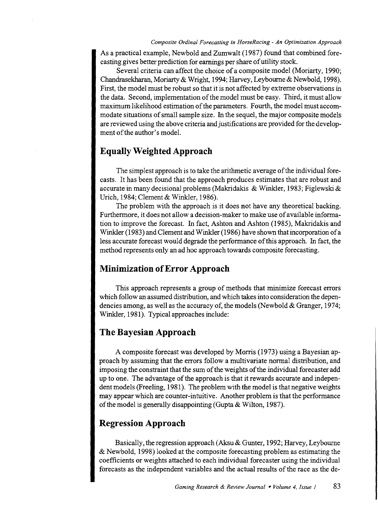As a practical example, Newbold and Zumwalt (1987) found that combined forecasting gives better prediction for earnings per share of utility stock.

Several criteria can affect the choice of a composite model (Moriarty, 1990; Chandrasekharan, Moriarty & Wright, 1994; Harvey, Leybourne & Newbold, 1998). First, the model must be robust so that it is not affected by extreme observations in the data. Second, implementation of the model must be easy. Third, it must allow maximum likelihood estimation of the parameters. Fourth, the model must accommodate situations of small sample size. In the sequel, the major composite models are reviewed using the above criteria and justifications are provided for the development of the author's model.

#### **Equally Weighted Approach**

The simplest approach is to take the arithmetic average of the individual forecasts. It has been found that the approach produces estimates that are robust and accurate in many decisional problems (Makridakis & Winkler, 1983; Figlewski & Urich, 1984; Clement & Winkler, 1986).

The problem with the approach is it does not have any theoretical backing. Furthermore, it does not allow a decision-maker to make use of available information to improve the forecast. In fact, Ashton and Ashton (1985), Makridakis and Winkler (1983) and Clement and Winkler (1986) have shown that incorporation of a less accurate forecast would degrade the performance of this approach. In fact, the method represents only an ad hoc approach towards composite forecasting.

#### **Minimization of Error Approach**

This approach represents a group of methods that minimize forecast errors which follow an assumed distribution, and which takes into consideration the dependencies among, as well as the accuracy of, the models (Newbold & Granger, 1974; Winkler, 1981). Typical approaches include:

#### **The Bayesian Approach**

A composite forecast was developed by Morris (1973) using a Bayesian approach by assuming that the errors follow a multivariate normal distribution, and imposing the constraint that the sum of the weights of the individual forecaster add up to one. The advantage ofthe approach is that it rewards accurate and independent models (Freeling, 1981). The problem with the model is that negative weights may appear which are counter-intuitive. Another problem is that the performance of the model is generally disappointing (Gupta & Wilton, 1987).

#### **Regression Approach**

Basically, the regression approach (Aksu& Gunter, 1992; Harvey, Leybourne & Newbold, 1998) looked at the composite forecasting problem as estimating the coefficients or weights attached to each individual forecaster using the individual forecasts as the independent variables and the actual results of the race as the de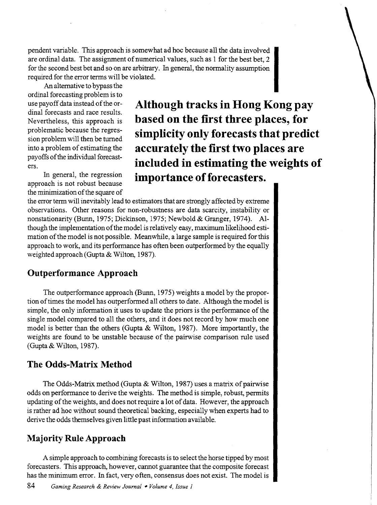pendent variable. This approach is somewhat ad hoc because all the data involved are ordinal data. The assignment of numerical values, such as 1 for the best bet, 2 for the second best bet and so on are arbitrary. In general, the normality assumption required for the error terms will be violated.

An alternative to bypass the ordinal forecasting problem is to use payoff data instead of the ordinal forecasts and race results. Nevertheless, this approach is problematic because the regression problem will then be turned into a problem of estimating the payoffs of the individual forecasters.

In general, the regression approach is not robust because the minimization of the square of

**Although tracks in Hong Kong pay based on the first three places, for simplicity only forecasts that predict accurately the first two places are included in estimating the weights of importance of forecasters.** 

the error term will inevitably lead to estimators that are strongly affected by extreme observations. Other reasons for non-robustness are data scarcity, instability or nonstationarity (Bunn, 1975; Dickinson, 1975; Newbold & Granger, 1974). Although the implementation of the model is relatively easy, maximum likelihood estimation of the model is not possible. Meanwhile, a large sample is required for this approach to work, and its performance has often been outperformed by the equally weighted approach (Gupta & Wilton, 1987).

#### **Outperformance Approach**

The outperformance approach (Bunn, 1975) weights a model by the proportion of times the model has outperformed all others to date. Although the model is simple, the only information it uses to update the priors is the performance of the single model compared to all the others, and it does not record by how much one model is better than the others (Gupta & Wilton, 1987). More importantly, the weights are found to be unstable because of the pairwise comparison rule used (Gupta & Wilton, 1987).

#### **The Odds-Matrix Method**

The Odds-Matrix method (Gupta & Wilton, 1987) uses a matrix of pairwise odds on performance to derive the weights. The method is simple, robust, permits updating of the weights, and does not require a lot of data. However, the approach is rather ad hoc without sound theoretical backing, especially when experts had to derive the odds themselves given little past information available.

### **Majority Rule Approach**

A simple approach to combining forecasts is to select the horse tipped by most forecasters. This approach, however, cannot guarantee that the composite forecast has the minimum error. In fact, very often, consensus does not exist. The model is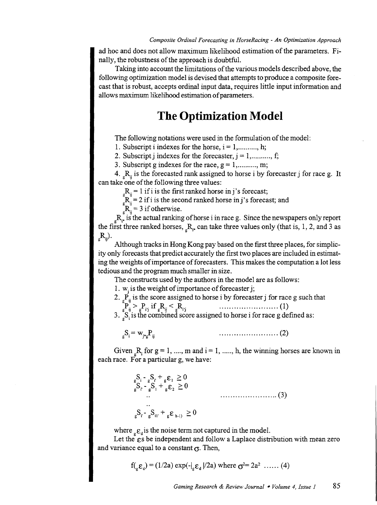ad hoc and does not allow maximum likelihood estimation of the parameters. Finally, the robustness of the approach is doubtful.

Taking into account the limitations of the various models described above, the following optimization model is devised that attempts to produce a composite forecast that is robust, accepts ordinal input data, requires little input information and allows maximum likelihood estimation of parameters.

## **The Optimization Model**

The following notations were used in the formulation of the model:

1. Subscript i indexes for the horse,  $i = 1, \ldots, h;$ 

2. Subscript j indexes for the forecaster,  $j = 1, \ldots, j$ ;

3. Subscript g indexes for the race,  $g = 1, \dots, m$ ;

4.  $R_{\mu}$  is the forecasted rank assigned to horse i by forecaster j for race g. It can take one of the following three values:

 $_{\circ}R_{\rm ii} = 1$  if i is the first ranked horse in j's forecast;

 $\mu_{\text{H}}^{\text{S}} = 2$  if i is the second ranked horse in j's forecast; and

 $R_{ij} = 3$  if otherwise.

 $R_{\rm F}$ , is the actual ranking of horse i in race g. Since the newspapers only report the first three ranked horses,  $_R_{\rm R}$  can take three values only (that is, 1, 2, and 3 as  $_{e}R_{ii}$ ).

Although tracks in Hong Kong pay based on the first three places, for simplicity only forecasts that predict accurately the first two places are included in estimating the weights of importance of forecasters. This makes the computation a lot less tedious and the program much smaller in size.

The constructs used by the authors in the model are as follows:

1.  $w_i$  is the weight of importance of forecaster j;

2.  $\vec{P}_{ii}$  is the score assigned to horse i by forecaster j for race g such that lu > li'i if gRii < gRi'i ........................ (1)

3.  $_{g}S_{i}$  is the combined score assigned to horse i for race g defined as:

 $S_i = w_{i*_2}P_{ii}$ ........................ (2)

Given  ${}_{s}R_{i}$  for  $g = 1, ..., m$  and  $i = 1, ..., h$ , the winning horses are known in each race. For a particular g, we have:

> ${}_{\mathbf{g}}\mathbf{S}_{i} - {}_{\mathbf{g}}\mathbf{S}_{i'} + {}_{\mathbf{g}}\varepsilon_{1} \geq 0$  $\int_{g}^{S} S_{i} - S_{i} + S_{j} + S_{j} \varepsilon_{2} \ge 0$ ....................... (3)  ${}_{g}S_{i} - {}_{g}S_{i1'} + {}_{g}\varepsilon_{h-1} \geq 0$

where  ${}_{e} \varepsilon_{d}$  is the noise term not captured in the model.

Let the  $\varepsilon$ s be independent and follow a Laplace distribution with mean zero and variance equal to a constant  $\sigma$ . Then,

$$
f_{\text{L}_g} \varepsilon_d
$$
) = (1/2a) exp $(-|_{g} \varepsilon_d | 2a)$  where  $\sigma^2 = 2a^2$  .... (4)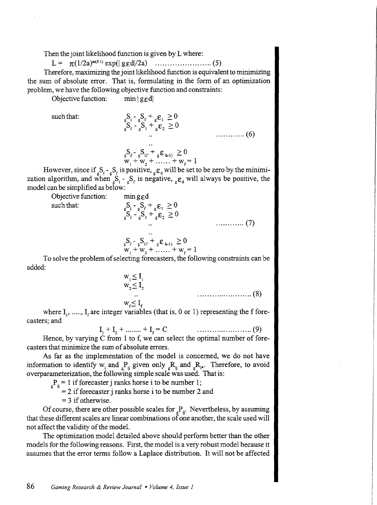Then the joint likelihood function is given by L where:

L = n(1/2a)m<f-l) exp(l g£dl/2a) ....................... (5)

Therefore, maximizing the joint likelihood function is equivalent to minimizing the sum of absolute error. That is, formulating in the form of an optimization problem, we have the following objective function and constraints:

Objective function:  $min | g_{\mathcal{E}}d|$ 

such that:<br> ${}_{g}S_{i} - {}_{g}S_{i} + {}_{g}E_{1} \ge 0$ <br> ${}_{g}S_{i} - {}_{g}S_{1} + {}_{g}E_{2} \ge 0$ ············ (6)

$$
\mathbf{g}_{\mathbf{w}_1}^{\mathbf{S}_r - \mathbf{g}_{\mathbf{u}_1}^{\mathbf{S}_r + \mathbf{g}_{\mathbf{u}_2}^{\mathbf{S}_r + \mathbf{g}_{\mathbf{u}_2}^{\mathbf{g}_{\mathbf{u}_1}}} = 0
$$
  
 
$$
\mathbf{w}_1 + \mathbf{w}_2 + \dots + \mathbf{w}_r = 1
$$

However, since if  ${}_{g}S_{i}$  -  ${}_{g}S_{i}$  is positive,  ${}_{g}\varepsilon_{d}$  will be set to be zero by the minimization algorithm, and when  $s_i$ ,  $s_i$ , is negative,  $s_{\rm g}$  will always be positive, the model can be simplified as below:

 $\int_{g}^{g^{-1}} s \cdot \int_{g}^{g^{-1}} s \cdot \int_{g}^{g^{-1}} \cdot \frac{g}{g} \cdot \frac{g}{g} = 0$ 

Objective function:  $\min$  g<sub> $\epsilon$ </sub>d such that:  ${}_{g}S_{i} - {}_{g}S_{i} + {}_{g}\varepsilon_{1} \ge 0$ 

| $S_{g}S_{i} - S_{i1'} + S_{i}S_{h-1} \geq 0$<br>$W_{1} + W_{2} + \dots + W_{f} = 1$ |  |
|-------------------------------------------------------------------------------------|--|

To solve the problem of selecting forecasters, the following constraints can be added:

> $W_1 \leq I_1$  $w_2 \leq I_2$  $w_f \leq I_f$ ....................... (8)

............ (7)

where  $I_1$ , ....,  $I_f$  are integer variables (that is, 0 or 1) representing the f forecasters; and

$$
I_1 + I_2 + \dots + I_f = C \qquad \qquad \dots \dots \dots \dots \dots \dots \dots \tag{9}
$$

Hence, by varying C from 1 to f, we can select the optimal number of forecasters that minimize the sum of absolute errors.

As far as the implementation of the model is concerned, we do not have information to identify  $w_i$  and  $P_{ii}$  given only  ${}_{R}R_{ii}$  and  ${}_{R}R_{i*}$ . Therefore, to avoid overparameterization, the following simple scale was used. That is:

 $_{g}P_{ij} = 1$  if forecaster j ranks horse i to be number 1;

 $= 2$  if forecaster j ranks horse i to be number 2 and

 $= 3$  if otherwise.

Of course, there are other possible scales for  $P_{\rm ii}$ . Nevertheless, by assuming that these different scales are linear combinations of one another, the scale used will not affect the validity of the model.

The optimization model detailed above should perform better than the other models for the following reasons. First, the model is a very robust model because it assumes that the error terms follow a Laplace distribution. It will not be affected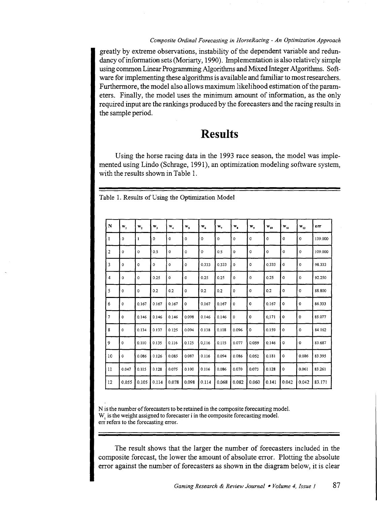#### *Composite Ordinal Forecasting in HorseRacing- An Optimization Approach*

greatly by extreme observations, instability of the dependent variable and redundancy of information sets (Moriarty, 1990). Implementation is also relatively simple using common Linear Programming Algorithms and Mixed Integer Algorithms. Software for implementing these algorithms is available and familiar to most researchers. Furthermore, the model also allows maximum likelihood estimation of the parameters. Finally, the model uses the minimum amount of information, as the only required input are the rankings produced by the forecasters and the racing results in the sample period.

## **Results**

Using the horse racing data in the 1993 race season, the model was implemented using Lindo (Schrage, 1991), an optimization modeling software system, with the results shown in Table 1.

| $\mathbf N$    | w,          | $W_2$               | $W_{3}$ | $\mathbf{w}_4$     | $W_{5}$      | $W_{\epsilon}$ | $\mathbf{w}_q$ | $\mathbf{w}_{\mathbf{z}}$ | $\mathbf{w}_\bullet$ | $W_{10}$    | $\mathbf{w}_{11}$ | $\mathbf{w}_{\mathbf{12}}$ | err     |
|----------------|-------------|---------------------|---------|--------------------|--------------|----------------|----------------|---------------------------|----------------------|-------------|-------------------|----------------------------|---------|
| ı              | $\mathbf 0$ | 1                   | 0       | $\mathbf 0$        | $\mathbf{0}$ | $\circ$        | $\mathbf{0}$   | $\mathbf 0$               | $\mathbf 0$          | 0           | $\mathbf{o}$      | $\mathbf{o}$               | 139.000 |
| $\overline{2}$ | $\mathbf 0$ | $\mathbf 0$         | 0.5     | 0                  | $\circ$      | $\circ$        | 0.5            | $\Omega$                  | 0                    | $\mathbf 0$ | $\mathbf{o}$      | 0                          | 109.000 |
| 3              | 0           | $\mathbf 0$         | 0       | $\circ$            | $\mathbf{0}$ | 0.333          | 0.333          | 0                         | 0                    | 0.333       | $\mathbf 0$       | $\mathbf 0$                | 98.333  |
| 4              | 0           | $\mathsf{o}\xspace$ | 0.25    | $\pmb{\mathsf{0}}$ | $\mathbf 0$  | 0.25           | 0.25           | $\pmb{0}$                 | $\mathbf{0}$         | 0.25        | 0                 | $\pmb{0}$                  | 92.250  |
| 5              | 0           | $\circ$             | 0.2     | 0.2                | $\mathbf{o}$ | 0.2            | 0.2            | $\pmb{0}$                 | 0                    | 0.2         | 0                 | 0                          | 88.800  |
| 6              | 0           | 0.167               | 0.167   | 0.167              | $\mathbf 0$  | 0.167          | 0.167          | $\mathbf 0$               | $\mathbf{o}$         | 0.167       | $\mathbf 0$       | $\mathbf 0$                | 86.333  |
|                | 0           | 0.146               | 0.146   | 0.146              | 0.098        | 0.146          | 0.146          | $\mathsf{o}\,$            | $\mathbf 0$          | 0,171       | $\mathbf 0$       | $\mathbf 0$                | 85.077  |
| 8              | 0           | 0.134               | 0.137   | 0.125              | 0.094        | 0.138          | 0.118          | 0.096                     | 0                    | 0.159       | $\mathbf 0$       | 0                          | 84.162  |
| 9              | $\Omega$    | 0.110               | 0.135   | 0.116              | 0.125        | 0,116          | 0.115          | 0.077                     | 0.059                | 0.146       | $\mathbf 0$       | 0                          | 83.687  |
| 10             | 0           | 0.086               | 0.126   | 0.085              | 0.087        | 0.116          | 0.094          | 0.086                     | 0.052                | 0.181       | $\circ$           | 0.086                      | 83.395  |
| 11             | 0.047       | 0.115               | 0.128   | 0.075              | 0.100        | 0.116          | 0.086          | 0.070                     | 0.073                | 0.128       | 0                 | 0.061                      | 83.261  |
| 12             | 0.055       | 0.105               | 0.114   | 0.078              | 0.098        | 0.114          | 0.068          | 0.082                     | 0.060                | 0.141       | 0.042             | 0.042                      | 83.171  |

Table 1. Results of Using the Optimization Model

N is the number of forecasters to be retained in the composite forecasting model. W<sub>i</sub> is the weight assigned to forecaster i in the composite forecasting model. err refers to the forecasting error.

The result shows that the larger the number of forecasters included in the composite forecast, the lower the amount of absolute error. Plotting the absolute error against the number of forecasters as shown in the diagram below, it is clear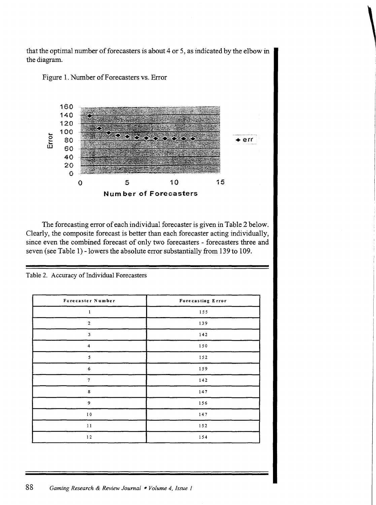





The forecasting error of each individual forecaster is given in Table 2 below. Clearly, the composite forecast is better than each forecaster acting individually, since even the combined forecast of only two forecasters - forecasters three and seven (see Table 1) - lowers the absolute error substantially from 139 to 109.

Table 2. Accuracy of Individual Forecasters

| Forecaster Number                           | Forecasting Error |
|---------------------------------------------|-------------------|
| $\mathbf{1}$<br>$\mathcal{L}^{\mathcal{L}}$ | 155               |
| $\mathbf 2$                                 | 139               |
| $\mathbf 3$                                 | 142               |
| $\overline{\mathbf{4}}$                     | 150               |
| 5                                           | 152               |
| 6                                           | 159               |
| $\overline{7}$                              | $1\,4\,2$         |
| 8                                           | 147               |
| 9                                           | 156               |
| $1\,0$                                      | $1\,4\,7$         |
| $1\,1$                                      | 152               |
| 12                                          | 154               |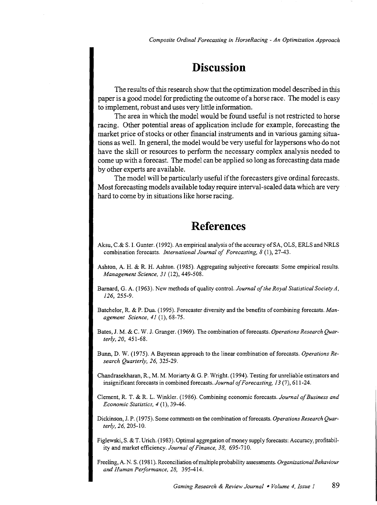*Composite Ordinal Forecasting in HorseRacing- An Optimization Approach* 

## **Discussion**

The results of this research show that the optimization model described in this paper is a good model for predicting the outcome of a horse race. The model is easy to implement, robust and uses very little information.

The area in which the model would be found useful is not restricted to horse racing. Other potential areas of application include for example, forecasting the market price of stocks or other financial instruments and in various gaming situations as well. In general, the model would be very useful for laypersons who do not have the skill or resources to perform the necessary complex analysis needed to come up with a forecast. The model can be applied so long as forecasting data made by other experts are available.

The model will be particularly useful if the forecasters give ordinal forecasts. Most forecasting models available today require interval-scaled data which are very hard to come by in situations like horse racing.

## **References**

- Aksu, C.& S. I. Gunter. (1992). An empirical analysis ofthe accuracy of SA, OLS, ERLS and NRLS combination forecasts. *International Journal of Forecasting, 8* (1), 27-43.
- Ashton, A. H. & R. H. Ashton. (1985). Aggregating subjective forecasts: Some empirical results. *Management Science, 31* (12), 449-508.
- Barnard, G. A. (1963). New methods of quality control. *Journal of the Royal Statistical Society A, 126,* 255-9.
- Batchelor, R. & P. Dua (1995). Forecaster diversity and the benefits of combining forecasts. *Management Science, 41* (1), 68-75.
- Bates, J. M. & C. W. J. Granger. (1969). The combination of forecasts. *Operations Research Quarterly, 20,* 451-68.
- Bunn, D. W. (1975). A Bayesean approach to the linear combination of forecasts. *Operations Research Quarterly, 26,* 325-29.
- Chandrasekharan, R., M. M. Moriarty & G. P. Wright. (1994). Testing for unreliable estimators and insignificant forecasts in combined forecasts. *Journal of Forecasting, 13* (7), 611-24.
- Clement, R. T. & R. L. Winkler. (1986). Combining economic forecasts. *Journal of Business and Economic Statistics, 4* (1), 39-46.
- Dickinson, J. P. (1975). Some comments on the combination of forecasts. *Operations Research Quarterly, 26,* 205-10.
- Figlewski, S. & T. Urich. (1983). Optimal aggregation of money supply forecasts: Accuracy, profitability and market efficiency. *Journal of Finance, 38,* 695-710.
- Freeling, A. N. S. (1981). Reconciliation of multiple probability assessments. *Organizational Behaviour and Human Performance, 28,* 395-414.